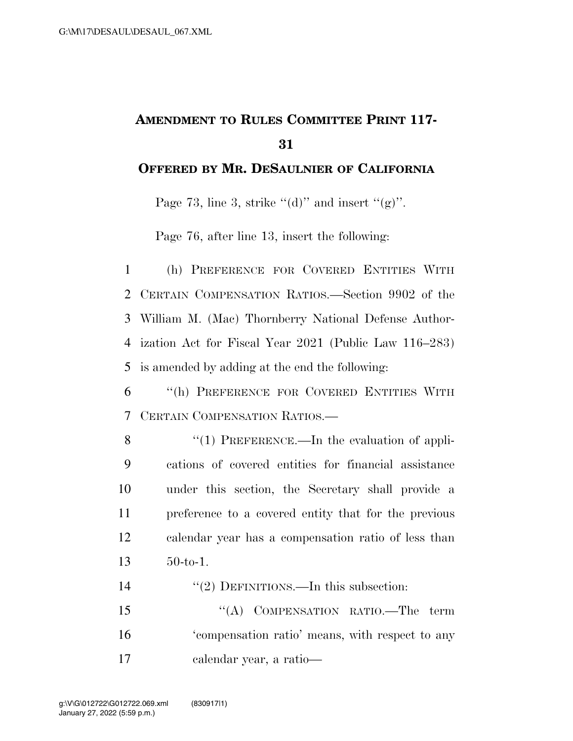## **AMENDMENT TO RULES COMMITTEE PRINT 117- 31**

## **OFFERED BY MR. DESAULNIER OF CALIFORNIA**

Page 73, line 3, strike " $(d)$ " and insert " $(g)$ ".

Page 76, after line 13, insert the following:

 (h) PREFERENCE FOR COVERED ENTITIES WITH CERTAIN COMPENSATION RATIOS.—Section 9902 of the William M. (Mac) Thornberry National Defense Author- ization Act for Fiscal Year 2021 (Public Law 116–283) is amended by adding at the end the following:

6 ''(h) PREFERENCE FOR COVERED ENTITIES WITH 7 CERTAIN COMPENSATION RATIOS.—

- 8 "(1) PREFERENCE.—In the evaluation of appli-9 cations of covered entities for financial assistance 10 under this section, the Secretary shall provide a 11 preference to a covered entity that for the previous 12 calendar year has a compensation ratio of less than 13 50-to-1.
- 14 "(2) DEFINITIONS.—In this subsection:

15 "(A) COMPENSATION RATIO.—The term 16 'compensation ratio' means, with respect to any 17 calendar year, a ratio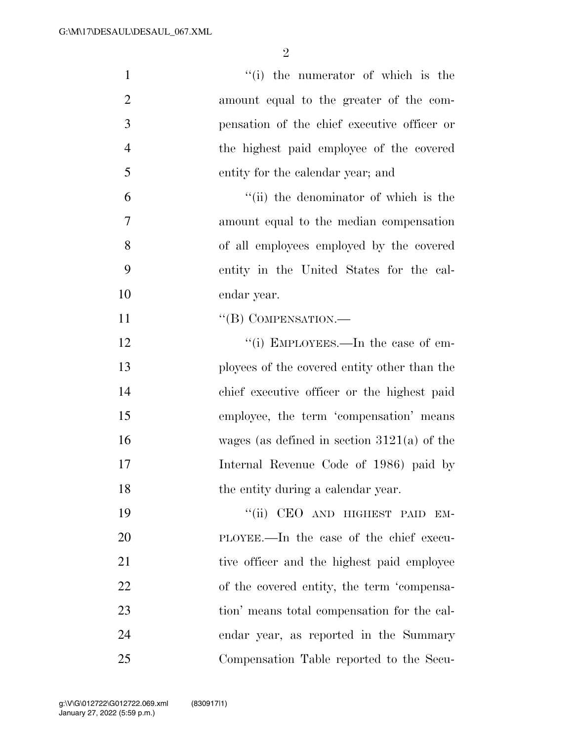| $\mathbf{1}$   | "(i) the numerator of which is the            |
|----------------|-----------------------------------------------|
| $\overline{2}$ | amount equal to the greater of the com-       |
| 3              | pensation of the chief executive officer or   |
| $\overline{4}$ | the highest paid employee of the covered      |
| 5              | entity for the calendar year; and             |
| 6              | "(ii) the denominator of which is the         |
| 7              | amount equal to the median compensation       |
| 8              | of all employees employed by the covered      |
| 9              | entity in the United States for the cal-      |
| 10             | endar year.                                   |
| 11             | "(B) COMPENSATION.—                           |
| 12             | "(i) EMPLOYEES.—In the case of em-            |
| 13             | ployees of the covered entity other than the  |
| 14             | chief executive officer or the highest paid   |
| 15             | employee, the term 'compensation' means       |
| 16             | wages (as defined in section $3121(a)$ of the |
| 17             | Internal Revenue Code of 1986) paid by        |
| 18             | the entity during a calendar year.            |
| 19             | "(ii) CEO AND HIGHEST PAID EM-                |
| 20             | PLOYEE.—In the case of the chief execu-       |
| 21             | tive officer and the highest paid employee    |
| 22             | of the covered entity, the term 'compensa-    |
| 23             | tion' means total compensation for the cal-   |
| 24             | endar year, as reported in the Summary        |
| 25             | Compensation Table reported to the Secu-      |